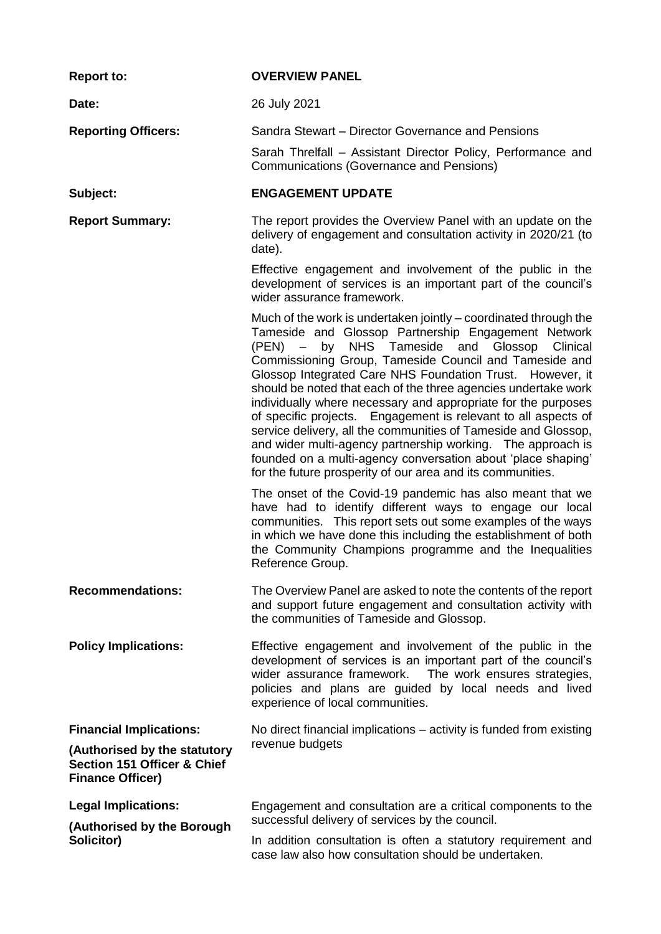| <b>Report to:</b>                                                                                                                   | <b>OVERVIEW PANEL</b>                                                                                                                                                                                                                                                                                                                                                                                                                                                                                                                                                                                                                                                                                                                                                                                 |  |  |
|-------------------------------------------------------------------------------------------------------------------------------------|-------------------------------------------------------------------------------------------------------------------------------------------------------------------------------------------------------------------------------------------------------------------------------------------------------------------------------------------------------------------------------------------------------------------------------------------------------------------------------------------------------------------------------------------------------------------------------------------------------------------------------------------------------------------------------------------------------------------------------------------------------------------------------------------------------|--|--|
| Date:                                                                                                                               | 26 July 2021                                                                                                                                                                                                                                                                                                                                                                                                                                                                                                                                                                                                                                                                                                                                                                                          |  |  |
| <b>Reporting Officers:</b>                                                                                                          | Sandra Stewart - Director Governance and Pensions                                                                                                                                                                                                                                                                                                                                                                                                                                                                                                                                                                                                                                                                                                                                                     |  |  |
|                                                                                                                                     | Sarah Threlfall - Assistant Director Policy, Performance and<br>Communications (Governance and Pensions)                                                                                                                                                                                                                                                                                                                                                                                                                                                                                                                                                                                                                                                                                              |  |  |
| Subject:                                                                                                                            | <b>ENGAGEMENT UPDATE</b>                                                                                                                                                                                                                                                                                                                                                                                                                                                                                                                                                                                                                                                                                                                                                                              |  |  |
| <b>Report Summary:</b>                                                                                                              | The report provides the Overview Panel with an update on the<br>delivery of engagement and consultation activity in 2020/21 (to<br>date).                                                                                                                                                                                                                                                                                                                                                                                                                                                                                                                                                                                                                                                             |  |  |
|                                                                                                                                     | Effective engagement and involvement of the public in the<br>development of services is an important part of the council's<br>wider assurance framework.                                                                                                                                                                                                                                                                                                                                                                                                                                                                                                                                                                                                                                              |  |  |
|                                                                                                                                     | Much of the work is undertaken jointly – coordinated through the<br>Tameside and Glossop Partnership Engagement Network<br>NHS Tameside and Glossop<br>$\overline{\phantom{0}}$<br>Clinical<br>(PEN)<br>by<br>Commissioning Group, Tameside Council and Tameside and<br>Glossop Integrated Care NHS Foundation Trust. However, it<br>should be noted that each of the three agencies undertake work<br>individually where necessary and appropriate for the purposes<br>of specific projects. Engagement is relevant to all aspects of<br>service delivery, all the communities of Tameside and Glossop,<br>and wider multi-agency partnership working. The approach is<br>founded on a multi-agency conversation about 'place shaping'<br>for the future prosperity of our area and its communities. |  |  |
|                                                                                                                                     | The onset of the Covid-19 pandemic has also meant that we<br>have had to identify different ways to engage our local<br>communities. This report sets out some examples of the ways<br>in which we have done this including the establishment of both<br>the Community Champions programme and the Inequalities<br>Reference Group.                                                                                                                                                                                                                                                                                                                                                                                                                                                                   |  |  |
| <b>Recommendations:</b>                                                                                                             | The Overview Panel are asked to note the contents of the report<br>and support future engagement and consultation activity with<br>the communities of Tameside and Glossop.                                                                                                                                                                                                                                                                                                                                                                                                                                                                                                                                                                                                                           |  |  |
| <b>Policy Implications:</b>                                                                                                         | Effective engagement and involvement of the public in the<br>development of services is an important part of the council's<br>wider assurance framework. The work ensures strategies,<br>policies and plans are guided by local needs and lived<br>experience of local communities.                                                                                                                                                                                                                                                                                                                                                                                                                                                                                                                   |  |  |
| <b>Financial Implications:</b><br>(Authorised by the statutory<br><b>Section 151 Officer &amp; Chief</b><br><b>Finance Officer)</b> | No direct financial implications $-$ activity is funded from existing<br>revenue budgets                                                                                                                                                                                                                                                                                                                                                                                                                                                                                                                                                                                                                                                                                                              |  |  |
| <b>Legal Implications:</b>                                                                                                          | Engagement and consultation are a critical components to the                                                                                                                                                                                                                                                                                                                                                                                                                                                                                                                                                                                                                                                                                                                                          |  |  |
| (Authorised by the Borough<br>Solicitor)                                                                                            | successful delivery of services by the council.<br>In addition consultation is often a statutory requirement and<br>case law also how consultation should be undertaken.                                                                                                                                                                                                                                                                                                                                                                                                                                                                                                                                                                                                                              |  |  |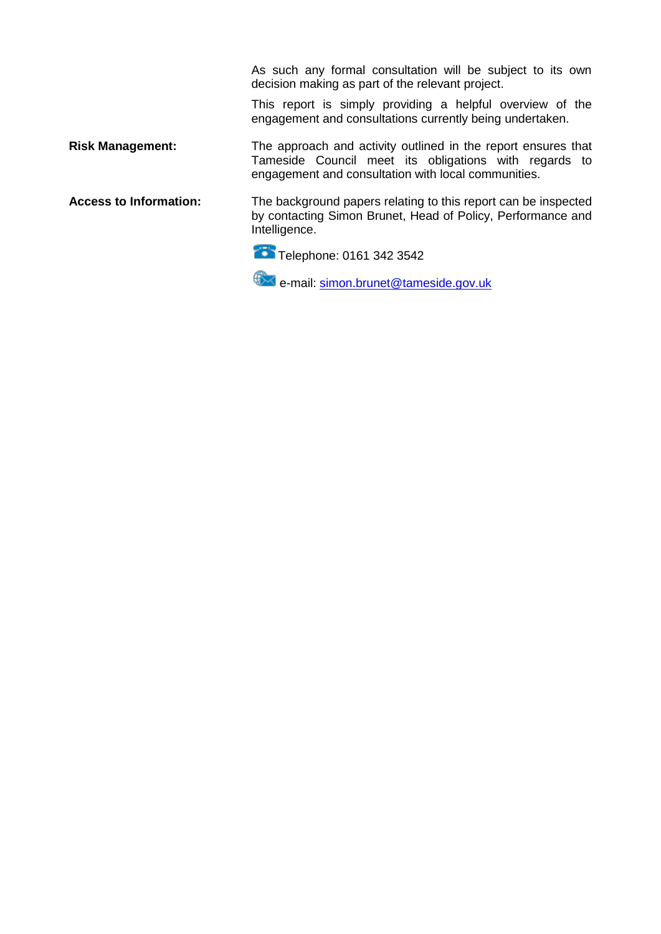As such any formal consultation will be subject to its own decision making as part of the relevant project.

This report is simply providing a helpful overview of the engagement and consultations currently being undertaken.

**Risk Management:** The approach and activity outlined in the report ensures that Tameside Council meet its obligations with regards to engagement and consultation with local communities.

**Access to Information:** The background papers relating to this report can be inspected by contacting Simon Brunet, Head of Policy, Performance and Intelligence.

Telephone: 0161 342 3542

e-mail: [simon.brunet@tameside.gov.uk](mailto:simon.brunet@tameside.gov.uk)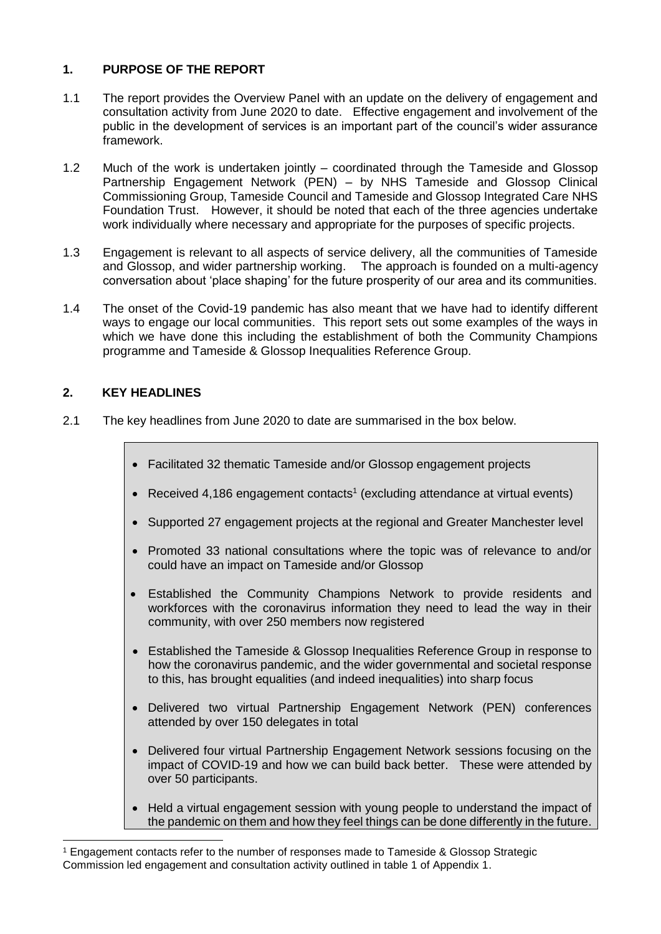## **1. PURPOSE OF THE REPORT**

- 1.1 The report provides the Overview Panel with an update on the delivery of engagement and consultation activity from June 2020 to date. Effective engagement and involvement of the public in the development of services is an important part of the council's wider assurance framework.
- 1.2 Much of the work is undertaken jointly coordinated through the Tameside and Glossop Partnership Engagement Network (PEN) – by NHS Tameside and Glossop Clinical Commissioning Group, Tameside Council and Tameside and Glossop Integrated Care NHS Foundation Trust. However, it should be noted that each of the three agencies undertake work individually where necessary and appropriate for the purposes of specific projects.
- 1.3 Engagement is relevant to all aspects of service delivery, all the communities of Tameside and Glossop, and wider partnership working. The approach is founded on a multi-agency conversation about 'place shaping' for the future prosperity of our area and its communities.
- 1.4 The onset of the Covid-19 pandemic has also meant that we have had to identify different ways to engage our local communities. This report sets out some examples of the ways in which we have done this including the establishment of both the Community Champions programme and Tameside & Glossop Inequalities Reference Group.

### **2. KEY HEADLINES**

- 2.1 The key headlines from June 2020 to date are summarised in the box below.
	- Facilitated 32 thematic Tameside and/or Glossop engagement projects
	- Received 4,186 engagement contacts<sup>1</sup> (excluding attendance at virtual events)
	- Supported 27 engagement projects at the regional and Greater Manchester level
	- Promoted 33 national consultations where the topic was of relevance to and/or could have an impact on Tameside and/or Glossop
	- Established the Community Champions Network to provide residents and workforces with the coronavirus information they need to lead the way in their community, with over 250 members now registered
	- Established the Tameside & Glossop Inequalities Reference Group in response to how the coronavirus pandemic, and the wider governmental and societal response to this, has brought equalities (and indeed inequalities) into sharp focus
	- Delivered two virtual Partnership Engagement Network (PEN) conferences attended by over 150 delegates in total
	- Delivered four virtual Partnership Engagement Network sessions focusing on the impact of COVID-19 and how we can build back better. These were attended by over 50 participants.
	- Held a virtual engagement session with young people to understand the impact of the pandemic on them and how they feel things can be done differently in the future.

<sup>-</sup><sup>1</sup> Engagement contacts refer to the number of responses made to Tameside & Glossop Strategic Commission led engagement and consultation activity outlined in table 1 of Appendix 1.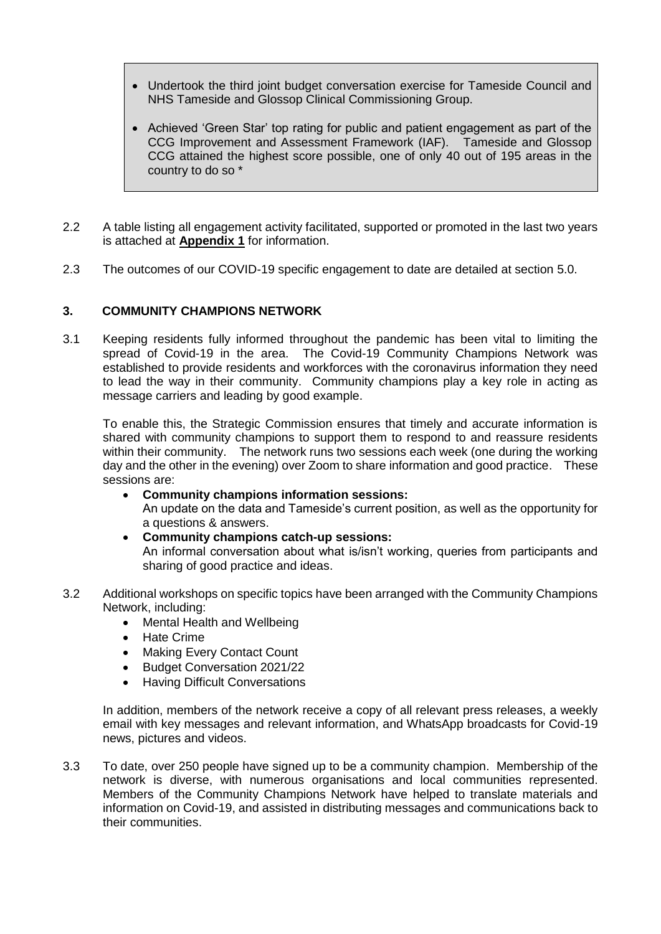- Undertook the third joint budget conversation exercise for Tameside Council and NHS Tameside and Glossop Clinical Commissioning Group.
- Achieved 'Green Star' top rating for public and patient engagement as part of the CCG Improvement and Assessment Framework (IAF). Tameside and Glossop CCG attained the highest score possible, one of only 40 out of 195 areas in the country to do so \*
- 2.2 A table listing all engagement activity facilitated, supported or promoted in the last two years is attached at **Appendix 1** for information.
- 2.3 The outcomes of our COVID-19 specific engagement to date are detailed at section 5.0.

### **3. COMMUNITY CHAMPIONS NETWORK**

3.1 Keeping residents fully informed throughout the pandemic has been vital to limiting the spread of Covid-19 in the area. The Covid-19 Community Champions Network was established to provide residents and workforces with the coronavirus information they need to lead the way in their community. Community champions play a key role in acting as message carriers and leading by good example.

To enable this, the Strategic Commission ensures that timely and accurate information is shared with community champions to support them to respond to and reassure residents within their community. The network runs two sessions each week (one during the working day and the other in the evening) over Zoom to share information and good practice. These sessions are:

- **Community champions information sessions:** An update on the data and Tameside's current position, as well as the opportunity for a questions & answers.
- **Community champions catch-up sessions:** An informal conversation about what is/isn't working, queries from participants and sharing of good practice and ideas.
- 3.2 Additional workshops on specific topics have been arranged with the Community Champions Network, including:
	- Mental Health and Wellbeing
	- Hate Crime
	- Making Every Contact Count
	- Budget Conversation 2021/22
	- Having Difficult Conversations

In addition, members of the network receive a copy of all relevant press releases, a weekly email with key messages and relevant information, and WhatsApp broadcasts for Covid-19 news, pictures and videos.

3.3 To date, over 250 people have signed up to be a community champion. Membership of the network is diverse, with numerous organisations and local communities represented. Members of the Community Champions Network have helped to translate materials and information on Covid-19, and assisted in distributing messages and communications back to their communities.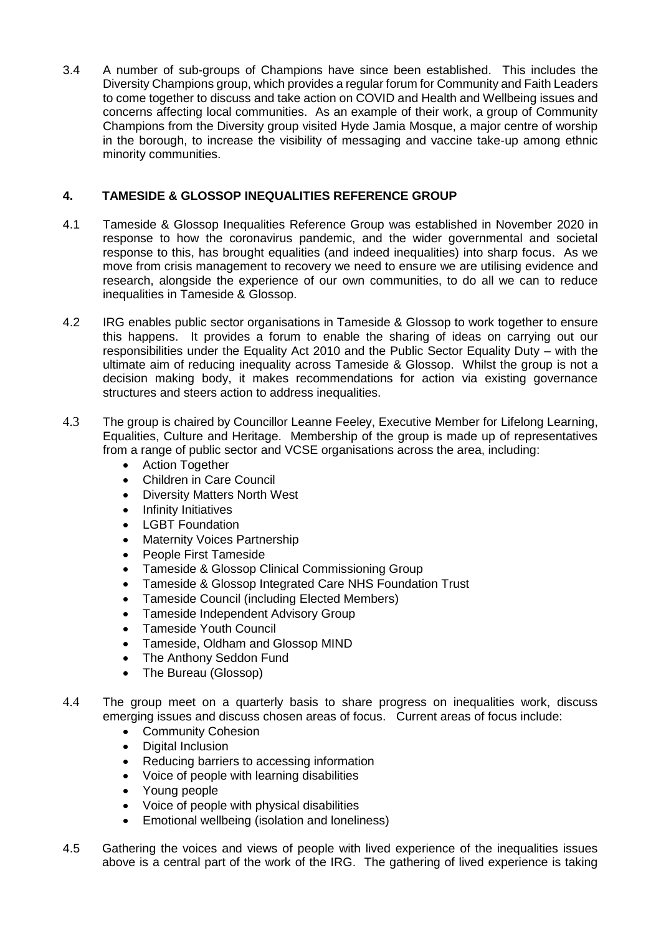3.4 A number of sub-groups of Champions have since been established. This includes the Diversity Champions group, which provides a regular forum for Community and Faith Leaders to come together to discuss and take action on COVID and Health and Wellbeing issues and concerns affecting local communities. As an example of their work, a group of Community Champions from the Diversity group visited Hyde Jamia Mosque, a major centre of worship in the borough, to increase the visibility of messaging and vaccine take-up among ethnic minority communities.

# **4. TAMESIDE & GLOSSOP INEQUALITIES REFERENCE GROUP**

- 4.1 Tameside & Glossop Inequalities Reference Group was established in November 2020 in response to how the coronavirus pandemic, and the wider governmental and societal response to this, has brought equalities (and indeed inequalities) into sharp focus. As we move from crisis management to recovery we need to ensure we are utilising evidence and research, alongside the experience of our own communities, to do all we can to reduce inequalities in Tameside & Glossop.
- 4.2 IRG enables public sector organisations in Tameside & Glossop to work together to ensure this happens. It provides a forum to enable the sharing of ideas on carrying out our responsibilities under the Equality Act 2010 and the Public Sector Equality Duty – with the ultimate aim of reducing inequality across Tameside & Glossop. Whilst the group is not a decision making body, it makes recommendations for action via existing governance structures and steers action to address inequalities.
- 4.3 The group is chaired by Councillor Leanne Feeley, Executive Member for Lifelong Learning, Equalities, Culture and Heritage. Membership of the group is made up of representatives from a range of public sector and VCSE organisations across the area, including:
	- Action Together
	- Children in Care Council
	- Diversity Matters North West
	- Infinity Initiatives
	- LGBT Foundation
	- Maternity Voices Partnership
	- People First Tameside
	- Tameside & Glossop Clinical Commissioning Group
	- Tameside & Glossop Integrated Care NHS Foundation Trust
	- Tameside Council (including Elected Members)
	- Tameside Independent Advisory Group
	- Tameside Youth Council
	- Tameside, Oldham and Glossop MIND
	- The Anthony Seddon Fund
	- The Bureau (Glossop)
- 4.4 The group meet on a quarterly basis to share progress on inequalities work, discuss emerging issues and discuss chosen areas of focus. Current areas of focus include:
	- Community Cohesion
	- Digital Inclusion
	- Reducing barriers to accessing information
	- Voice of people with learning disabilities
	- Young people
	- Voice of people with physical disabilities
	- Emotional wellbeing (isolation and loneliness)
- 4.5 Gathering the voices and views of people with lived experience of the inequalities issues above is a central part of the work of the IRG. The gathering of lived experience is taking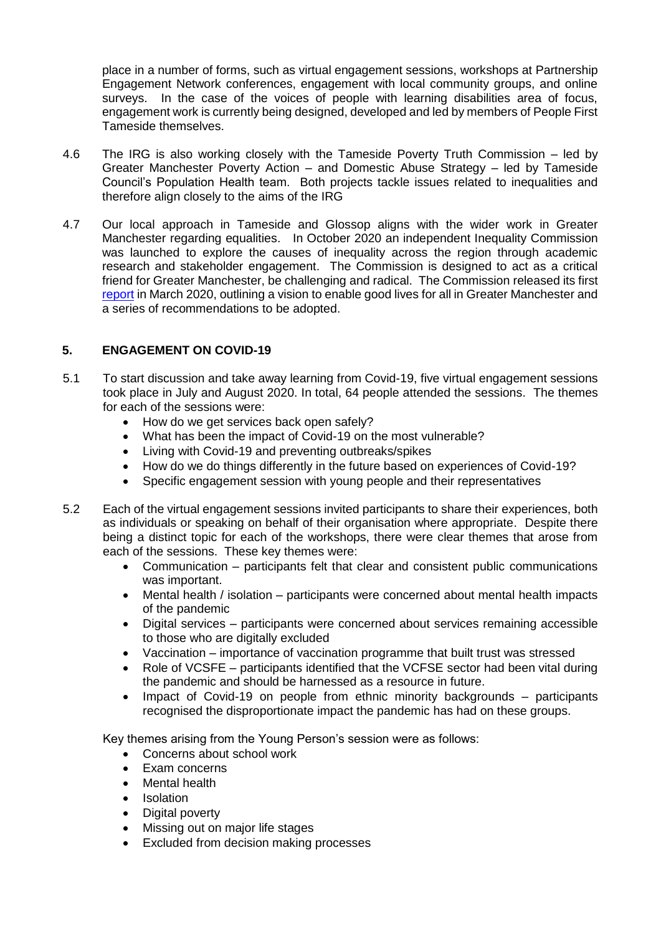place in a number of forms, such as virtual engagement sessions, workshops at Partnership Engagement Network conferences, engagement with local community groups, and online surveys. In the case of the voices of people with learning disabilities area of focus, engagement work is currently being designed, developed and led by members of People First Tameside themselves.

- 4.6 The IRG is also working closely with the Tameside Poverty Truth Commission led by Greater Manchester Poverty Action – and Domestic Abuse Strategy – led by Tameside Council's Population Health team. Both projects tackle issues related to inequalities and therefore align closely to the aims of the IRG
- 4.7 Our local approach in Tameside and Glossop aligns with the wider work in Greater Manchester regarding equalities. In October 2020 an independent Inequality Commission was launched to explore the causes of inequality across the region through academic research and stakeholder engagement. The Commission is designed to act as a critical friend for Greater Manchester, be challenging and radical. The Commission released its first [report](https://www.greatermanchester-ca.gov.uk/media/4337/gmca_independent-inequalities-commission_v15.pdf) in March 2020, outlining a vision to enable good lives for all in Greater Manchester and a series of recommendations to be adopted.

### **5. ENGAGEMENT ON COVID-19**

- 5.1 To start discussion and take away learning from Covid-19, five virtual engagement sessions took place in July and August 2020. In total, 64 people attended the sessions. The themes for each of the sessions were:
	- How do we get services back open safely?
	- What has been the impact of Covid-19 on the most vulnerable?
	- Living with Covid-19 and preventing outbreaks/spikes
	- How do we do things differently in the future based on experiences of Covid-19?
	- Specific engagement session with young people and their representatives
- 5.2 Each of the virtual engagement sessions invited participants to share their experiences, both as individuals or speaking on behalf of their organisation where appropriate. Despite there being a distinct topic for each of the workshops, there were clear themes that arose from each of the sessions. These key themes were:
	- Communication participants felt that clear and consistent public communications was important.
	- Mental health / isolation participants were concerned about mental health impacts of the pandemic
	- Digital services participants were concerned about services remaining accessible to those who are digitally excluded
	- Vaccination importance of vaccination programme that built trust was stressed
	- Role of VCSFE participants identified that the VCFSE sector had been vital during the pandemic and should be harnessed as a resource in future.
	- Impact of Covid-19 on people from ethnic minority backgrounds participants recognised the disproportionate impact the pandemic has had on these groups.

Key themes arising from the Young Person's session were as follows:

- Concerns about school work
- Exam concerns
- Mental health
- Isolation
- Digital poverty
- Missing out on major life stages
- Excluded from decision making processes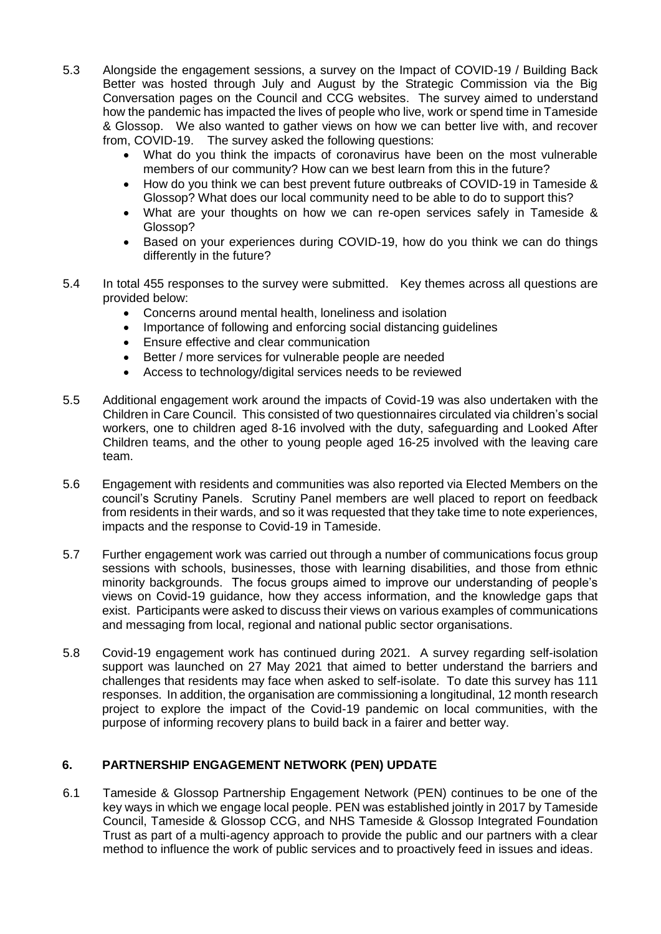- 5.3 Alongside the engagement sessions, a survey on the Impact of COVID-19 / Building Back Better was hosted through July and August by the Strategic Commission via the Big Conversation pages on the Council and CCG websites. The survey aimed to understand how the pandemic has impacted the lives of people who live, work or spend time in Tameside & Glossop. We also wanted to gather views on how we can better live with, and recover from, COVID-19. The survey asked the following questions:
	- What do you think the impacts of coronavirus have been on the most vulnerable members of our community? How can we best learn from this in the future?
	- How do you think we can best prevent future outbreaks of COVID-19 in Tameside & Glossop? What does our local community need to be able to do to support this?
	- What are your thoughts on how we can re-open services safely in Tameside & Glossop?
	- Based on your experiences during COVID-19, how do you think we can do things differently in the future?
- 5.4 In total 455 responses to the survey were submitted. Key themes across all questions are provided below:
	- Concerns around mental health, loneliness and isolation
	- Importance of following and enforcing social distancing guidelines
	- Ensure effective and clear communication
	- Better / more services for vulnerable people are needed
	- Access to technology/digital services needs to be reviewed
- 5.5 Additional engagement work around the impacts of Covid-19 was also undertaken with the Children in Care Council. This consisted of two questionnaires circulated via children's social workers, one to children aged 8-16 involved with the duty, safeguarding and Looked After Children teams, and the other to young people aged 16-25 involved with the leaving care team.
- 5.6 Engagement with residents and communities was also reported via Elected Members on the council's Scrutiny Panels. Scrutiny Panel members are well placed to report on feedback from residents in their wards, and so it was requested that they take time to note experiences, impacts and the response to Covid-19 in Tameside.
- 5.7 Further engagement work was carried out through a number of communications focus group sessions with schools, businesses, those with learning disabilities, and those from ethnic minority backgrounds. The focus groups aimed to improve our understanding of people's views on Covid-19 guidance, how they access information, and the knowledge gaps that exist. Participants were asked to discuss their views on various examples of communications and messaging from local, regional and national public sector organisations.
- 5.8 Covid-19 engagement work has continued during 2021. A survey regarding self-isolation support was launched on 27 May 2021 that aimed to better understand the barriers and challenges that residents may face when asked to self-isolate. To date this survey has 111 responses. In addition, the organisation are commissioning a longitudinal, 12 month research project to explore the impact of the Covid-19 pandemic on local communities, with the purpose of informing recovery plans to build back in a fairer and better way.

## **6. PARTNERSHIP ENGAGEMENT NETWORK (PEN) UPDATE**

6.1 Tameside & Glossop Partnership Engagement Network (PEN) continues to be one of the key ways in which we engage local people. PEN was established jointly in 2017 by Tameside Council, Tameside & Glossop CCG, and NHS Tameside & Glossop Integrated Foundation Trust as part of a multi-agency approach to provide the public and our partners with a clear method to influence the work of public services and to proactively feed in issues and ideas.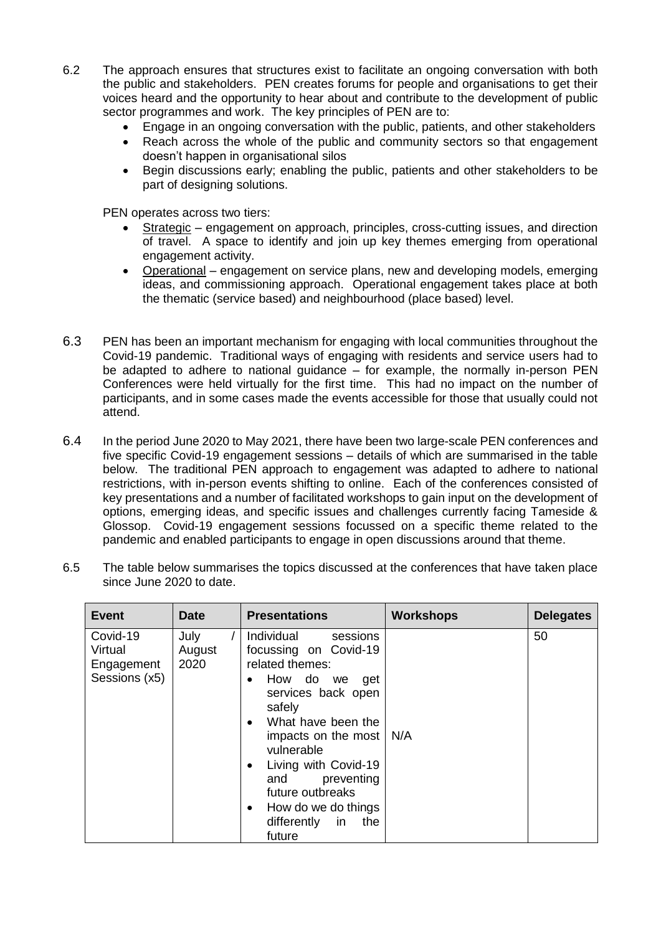- 6.2 The approach ensures that structures exist to facilitate an ongoing conversation with both the public and stakeholders. PEN creates forums for people and organisations to get their voices heard and the opportunity to hear about and contribute to the development of public sector programmes and work. The key principles of PEN are to:
	- Engage in an ongoing conversation with the public, patients, and other stakeholders
	- Reach across the whole of the public and community sectors so that engagement doesn't happen in organisational silos
	- Begin discussions early; enabling the public, patients and other stakeholders to be part of designing solutions.

PEN operates across two tiers:

- Strategic engagement on approach, principles, cross-cutting issues, and direction of travel. A space to identify and join up key themes emerging from operational engagement activity.
- Operational engagement on service plans, new and developing models, emerging ideas, and commissioning approach. Operational engagement takes place at both the thematic (service based) and neighbourhood (place based) level.
- 6.3 PEN has been an important mechanism for engaging with local communities throughout the Covid-19 pandemic. Traditional ways of engaging with residents and service users had to be adapted to adhere to national guidance – for example, the normally in-person PEN Conferences were held virtually for the first time. This had no impact on the number of participants, and in some cases made the events accessible for those that usually could not attend.
- 6.4 In the period June 2020 to May 2021, there have been two large-scale PEN conferences and five specific Covid-19 engagement sessions – details of which are summarised in the table below. The traditional PEN approach to engagement was adapted to adhere to national restrictions, with in-person events shifting to online. Each of the conferences consisted of key presentations and a number of facilitated workshops to gain input on the development of options, emerging ideas, and specific issues and challenges currently facing Tameside & Glossop. Covid-19 engagement sessions focussed on a specific theme related to the pandemic and enabled participants to engage in open discussions around that theme.

| <b>Event</b>                                       | <b>Date</b>            | <b>Presentations</b>                                                                                                                                                                                                                                                                                                                                             | <b>Workshops</b> | <b>Delegates</b> |
|----------------------------------------------------|------------------------|------------------------------------------------------------------------------------------------------------------------------------------------------------------------------------------------------------------------------------------------------------------------------------------------------------------------------------------------------------------|------------------|------------------|
| Covid-19<br>Virtual<br>Engagement<br>Sessions (x5) | July<br>August<br>2020 | Individual<br>sessions<br>focussing on Covid-19<br>related themes:<br>How do we<br>get<br>$\bullet$<br>services back open<br>safely<br>What have been the<br>$\bullet$<br>impacts on the most<br>vulnerable<br>Living with Covid-19<br>$\bullet$<br>preventing<br>and<br>future outbreaks<br>How do we do things<br>$\bullet$<br>differently in<br>the<br>future | N/A              | 50               |

6.5 The table below summarises the topics discussed at the conferences that have taken place since June 2020 to date.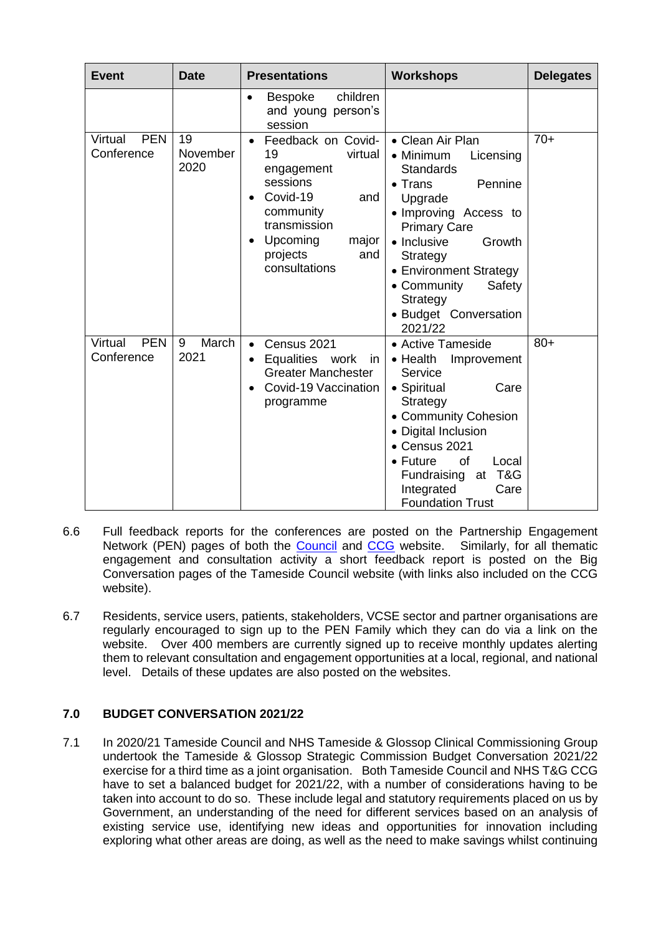| <b>Event</b>                        | <b>Date</b>            | <b>Presentations</b>                                                                                                                                                                                          | <b>Workshops</b>                                                                                                                                                                                                                                                                                | <b>Delegates</b> |
|-------------------------------------|------------------------|---------------------------------------------------------------------------------------------------------------------------------------------------------------------------------------------------------------|-------------------------------------------------------------------------------------------------------------------------------------------------------------------------------------------------------------------------------------------------------------------------------------------------|------------------|
|                                     |                        | children<br><b>Bespoke</b><br>$\bullet$<br>and young person's<br>session                                                                                                                                      |                                                                                                                                                                                                                                                                                                 |                  |
| Virtual<br><b>PEN</b><br>Conference | 19<br>November<br>2020 | Feedback on Covid-<br>$\bullet$<br>19<br>virtual<br>engagement<br>sessions<br>Covid-19<br>and<br>$\bullet$<br>community<br>transmission<br>Upcoming<br>major<br>$\bullet$<br>projects<br>and<br>consultations | • Clean Air Plan<br>• Minimum<br>Licensing<br><b>Standards</b><br>Pennine<br>$\bullet$ Trans<br>Upgrade<br>· Improving Access to<br><b>Primary Care</b><br>• Inclusive<br>Growth<br>Strategy<br>• Environment Strategy<br>• Community<br>Safety<br>Strategy<br>• Budget Conversation<br>2021/22 | $70+$            |
| <b>PEN</b><br>Virtual<br>Conference | March<br>9<br>2021     | Census 2021<br>$\bullet$<br>Equalities work<br>in<br>$\bullet$<br><b>Greater Manchester</b><br>Covid-19 Vaccination<br>$\bullet$<br>programme                                                                 | • Active Tameside<br>$\bullet$ Health<br>Improvement<br>Service<br>• Spiritual<br>Care<br>Strategy<br>• Community Cohesion<br>• Digital Inclusion<br>• Census 2021<br><b>of</b><br>$\bullet$ Future<br>Local<br>T&G<br>Fundraising<br>at<br>Integrated<br>Care<br><b>Foundation Trust</b>       | $80+$            |

- 6.6 Full feedback reports for the conferences are posted on the Partnership Engagement Network (PEN) pages of both the [Council](https://www.tameside.gov.uk/tamesideandglossopPEN) and [CCG](https://www.tamesideandglossopccg.org/get-involved/tameside-glossop-partnership-engagement-network-(p/about-pen) website. Similarly, for all thematic engagement and consultation activity a short feedback report is posted on the Big Conversation pages of the Tameside Council website (with links also included on the CCG website).
- 6.7 Residents, service users, patients, stakeholders, VCSE sector and partner organisations are regularly encouraged to sign up to the PEN Family which they can do via a link on the website. Over 400 members are currently signed up to receive monthly updates alerting them to relevant consultation and engagement opportunities at a local, regional, and national level. Details of these updates are also posted on the websites.

## **7.0 BUDGET CONVERSATION 2021/22**

7.1 In 2020/21 Tameside Council and NHS Tameside & Glossop Clinical Commissioning Group undertook the Tameside & Glossop Strategic Commission Budget Conversation 2021/22 exercise for a third time as a joint organisation. Both Tameside Council and NHS T&G CCG have to set a balanced budget for 2021/22, with a number of considerations having to be taken into account to do so. These include legal and statutory requirements placed on us by Government, an understanding of the need for different services based on an analysis of existing service use, identifying new ideas and opportunities for innovation including exploring what other areas are doing, as well as the need to make savings whilst continuing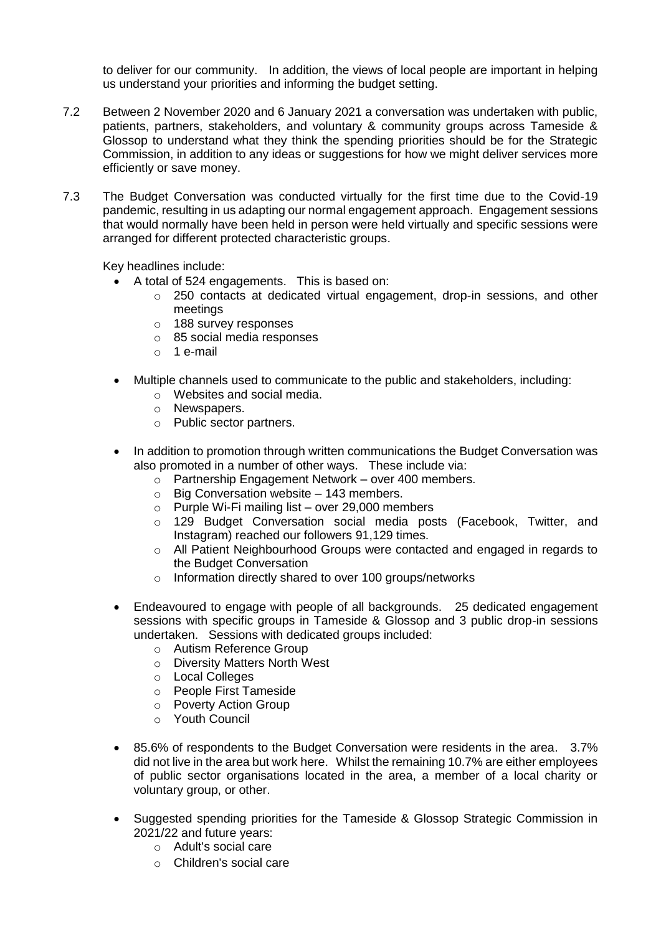to deliver for our community. In addition, the views of local people are important in helping us understand your priorities and informing the budget setting.

- 7.2 Between 2 November 2020 and 6 January 2021 a conversation was undertaken with public, patients, partners, stakeholders, and voluntary & community groups across Tameside & Glossop to understand what they think the spending priorities should be for the Strategic Commission, in addition to any ideas or suggestions for how we might deliver services more efficiently or save money.
- 7.3 The Budget Conversation was conducted virtually for the first time due to the Covid-19 pandemic, resulting in us adapting our normal engagement approach. Engagement sessions that would normally have been held in person were held virtually and specific sessions were arranged for different protected characteristic groups.

Key headlines include:

- A total of 524 engagements. This is based on:
	- $\circ$  250 contacts at dedicated virtual engagement, drop-in sessions, and other meetings
	- o 188 survey responses
	- o 85 social media responses
	- $\circ$  1 e-mail
- Multiple channels used to communicate to the public and stakeholders, including:
	- o Websites and social media.
	- o Newspapers.
	- o Public sector partners.
- In addition to promotion through written communications the Budget Conversation was also promoted in a number of other ways. These include via:
	- o Partnership Engagement Network over 400 members.
	- $\circ$  Big Conversation website 143 members.
	- o Purple Wi-Fi mailing list over 29,000 members
	- $\circ$  129 Budget Conversation social media posts (Facebook, Twitter, and Instagram) reached our followers 91,129 times.
	- o All Patient Neighbourhood Groups were contacted and engaged in regards to the Budget Conversation
	- o Information directly shared to over 100 groups/networks
- Endeavoured to engage with people of all backgrounds. 25 dedicated engagement sessions with specific groups in Tameside & Glossop and 3 public drop-in sessions undertaken. Sessions with dedicated groups included:
	- o Autism Reference Group
	- o Diversity Matters North West
	- o Local Colleges
	- o People First Tameside
	- o Poverty Action Group
	- o Youth Council
- 85.6% of respondents to the Budget Conversation were residents in the area. 3.7% did not live in the area but work here. Whilst the remaining 10.7% are either employees of public sector organisations located in the area, a member of a local charity or voluntary group, or other.
- Suggested spending priorities for the Tameside & Glossop Strategic Commission in 2021/22 and future years:
	- o Adult's social care
	- o Children's social care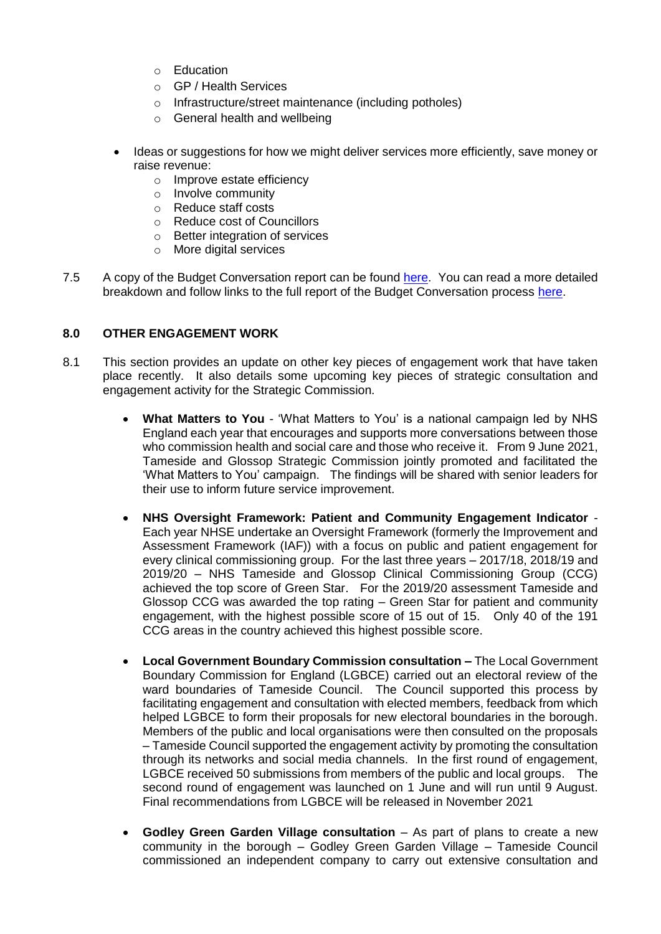- o Education
- o GP / Health Services
- o Infrastructure/street maintenance (including potholes)
- o General health and wellbeing
- Ideas or suggestions for how we might deliver services more efficiently, save money or raise revenue:
	- o Improve estate efficiency
	- o Involve community
	- o Reduce staff costs
	- o Reduce cost of Councillors
	- o Better integration of services
	- o More digital services
- 7.5 A copy of the Budget Conversation report can be found [here.](https://tameside.moderngov.co.uk/ieListDocuments.aspx?CId=160&MId=6914&Ver=4) You can read a more detailed breakdown and follow links to the full report of the Budget Conversation process [here.](https://www.tameside.gov.uk/TBC/Budget-Conversation-2021-22-Outcome)

### **8.0 OTHER ENGAGEMENT WORK**

- 8.1 This section provides an update on other key pieces of engagement work that have taken place recently. It also details some upcoming key pieces of strategic consultation and engagement activity for the Strategic Commission.
	- **What Matters to You** 'What Matters to You' is a national campaign led by NHS England each year that encourages and supports more conversations between those who commission health and social care and those who receive it. From 9 June 2021, Tameside and Glossop Strategic Commission jointly promoted and facilitated the 'What Matters to You' campaign. The findings will be shared with senior leaders for their use to inform future service improvement.
	- **NHS Oversight Framework: Patient and Community Engagement Indicator** Each year NHSE undertake an Oversight Framework (formerly the Improvement and Assessment Framework (IAF)) with a focus on public and patient engagement for every clinical commissioning group. For the last three years – 2017/18, 2018/19 and 2019/20 – NHS Tameside and Glossop Clinical Commissioning Group (CCG) achieved the top score of Green Star. For the 2019/20 assessment Tameside and Glossop CCG was awarded the top rating – Green Star for patient and community engagement, with the highest possible score of 15 out of 15. Only 40 of the 191 CCG areas in the country achieved this highest possible score.
	- **Local Government Boundary Commission consultation –** The Local Government Boundary Commission for England (LGBCE) carried out an electoral review of the ward boundaries of Tameside Council. The Council supported this process by facilitating engagement and consultation with elected members, feedback from which helped LGBCE to form their proposals for new electoral boundaries in the borough. Members of the public and local organisations were then consulted on the proposals – Tameside Council supported the engagement activity by promoting the consultation through its networks and social media channels. In the first round of engagement, LGBCE received 50 submissions from members of the public and local groups. The second round of engagement was launched on 1 June and will run until 9 August. Final recommendations from LGBCE will be released in November 2021
	- **Godley Green Garden Village consultation**  As part of plans to create a new community in the borough – Godley Green Garden Village – Tameside Council commissioned an independent company to carry out extensive consultation and